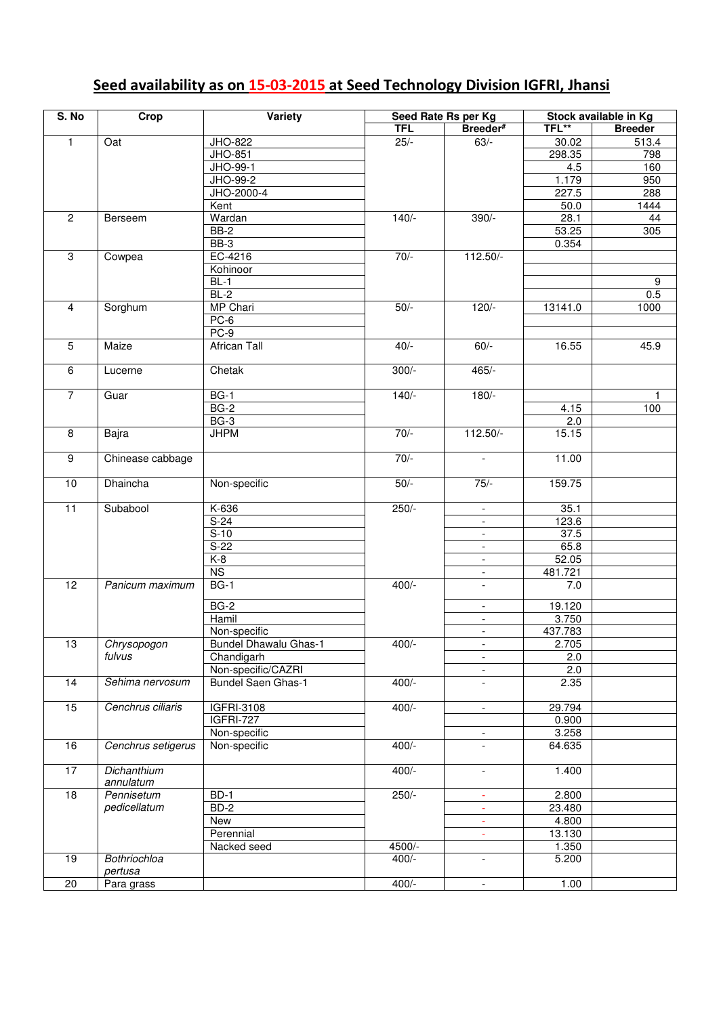## **Seed availability as on 15-03-2015 at Seed Technology Division IGFRI, Jhansi**

| S. No<br>Crop   |                     | Variety                      |                    | Seed Rate Rs per Kg      | Stock available in Kg |                    |  |
|-----------------|---------------------|------------------------------|--------------------|--------------------------|-----------------------|--------------------|--|
|                 |                     |                              | <b>TFL</b>         | Breeder#                 | TFL**                 | <b>Breeder</b>     |  |
| $\mathbf{1}$    | Oat                 | JHO-822                      | $25/-$             | $63/-$                   | 30.02                 | 513.4              |  |
|                 |                     | JHO-851                      |                    |                          | 298.35                | 798                |  |
|                 |                     | JHO-99-1                     |                    |                          | 4.5                   | 160                |  |
|                 |                     | JHO-99-2                     |                    |                          | 1.179                 | 950                |  |
|                 |                     | JHO-2000-4                   |                    |                          | 227.5                 | 288                |  |
|                 |                     |                              |                    |                          | 50.0                  | $\overline{1}$ 444 |  |
|                 |                     | Kent                         |                    |                          |                       |                    |  |
| $\overline{2}$  | Berseem             | Wardan                       | $140/-$            | $390/-$                  | 28.1                  | 44                 |  |
|                 |                     | $BB-2$                       |                    |                          | 53.25                 | 305                |  |
|                 |                     | $BB-3$                       |                    |                          | 0.354                 |                    |  |
| $\,3$           | Cowpea              | EC-4216                      | $70/-$             | 112.50/-                 |                       |                    |  |
|                 |                     | Kohinoor                     |                    |                          |                       |                    |  |
|                 |                     | $BL-1$                       |                    |                          |                       | $\boldsymbol{9}$   |  |
|                 |                     | $BL-2$                       |                    |                          |                       | 0.5                |  |
| $\overline{4}$  | Sorghum             | <b>MP Chari</b>              | $50/-$             | $120/-$                  | 13141.0               | 1000               |  |
|                 |                     | $PC-6$                       |                    |                          |                       |                    |  |
|                 |                     | $PC-9$                       |                    |                          |                       |                    |  |
| 5               | Maize               | <b>African Tall</b>          | $40/-$             | $60/-$                   | 16.55                 | 45.9               |  |
|                 |                     |                              |                    |                          |                       |                    |  |
| 6               | Lucerne             | Chetak                       | $300/-$            | $465/-$                  |                       |                    |  |
|                 |                     |                              |                    |                          |                       |                    |  |
| $\overline{7}$  | Guar                | $BG-1$                       | $140/-$            | $180/-$                  |                       |                    |  |
|                 |                     | <b>BG-2</b>                  |                    |                          | 4.15                  | 100                |  |
|                 |                     |                              |                    |                          |                       |                    |  |
|                 |                     | $BG-3$                       |                    |                          | $\overline{2.0}$      |                    |  |
| $\overline{8}$  | Bajra               | <b>JHPM</b>                  | $70/-$             | $112.50/-$               | 15.15                 |                    |  |
|                 |                     |                              |                    |                          |                       |                    |  |
| $\overline{9}$  | Chinease cabbage    |                              | $70/-$             | $\overline{\phantom{a}}$ | 11.00                 |                    |  |
|                 |                     |                              |                    |                          |                       |                    |  |
| 10              | <b>Dhaincha</b>     | Non-specific                 | $50/-$             | $75/-$                   | 159.75                |                    |  |
|                 |                     |                              |                    |                          |                       |                    |  |
| $\overline{11}$ | Subabool            | K-636                        | $250/-$            | $\sim$                   | 35.1                  |                    |  |
|                 |                     | $S-24$                       |                    |                          | 123.6                 |                    |  |
|                 |                     | $S-10$                       |                    | $\overline{\phantom{a}}$ | 37.5                  |                    |  |
|                 |                     | $S-22$                       |                    | $\overline{\phantom{a}}$ | 65.8                  |                    |  |
|                 |                     | $K-8$                        |                    | $\blacksquare$           | 52.05                 |                    |  |
|                 |                     | N <sub>S</sub>               |                    | $\overline{\phantom{a}}$ | 481.721               |                    |  |
| $\overline{12}$ | Panicum maximum     | $BG-1$                       | $400/-$            | $\overline{\phantom{a}}$ | 7.0                   |                    |  |
|                 |                     |                              |                    |                          |                       |                    |  |
|                 |                     | $BG-2$                       |                    | $\overline{\phantom{a}}$ | 19.120                |                    |  |
|                 |                     | Hamil                        |                    | $\equiv$                 | 3.750                 |                    |  |
|                 |                     | Non-specific                 |                    | $\blacksquare$           | 437.783               |                    |  |
| 13              | Chrysopogon         | <b>Bundel Dhawalu Ghas-1</b> | $\frac{1}{400}$ /- | $\blacksquare$           | 2.705                 |                    |  |
|                 | fulvus              | Chandigarh                   |                    | $\overline{\phantom{a}}$ | 2.0                   |                    |  |
|                 |                     | Non-specific/CAZRI           |                    | ÷.                       | 2.0                   |                    |  |
| $\overline{14}$ | Sehima nervosum     | <b>Bundel Saen Ghas-1</b>    | $400/-$            | ÷,                       | 2.35                  |                    |  |
|                 |                     |                              |                    |                          |                       |                    |  |
| $\overline{15}$ | Cenchrus ciliaris   |                              | $400/-$            |                          |                       |                    |  |
|                 |                     | IGFRI-3108                   |                    | $\blacksquare$           | 29.794                |                    |  |
|                 |                     | <b>IGFRI-727</b>             |                    |                          | 0.900                 |                    |  |
|                 |                     | Non-specific                 |                    | $\overline{\phantom{a}}$ | 3.258                 |                    |  |
| 16              | Cenchrus setigerus  | Non-specific                 | $400/-$            | $\overline{\phantom{0}}$ | 64.635                |                    |  |
|                 |                     |                              |                    |                          |                       |                    |  |
| $\overline{17}$ | Dichanthium         |                              | $400/-$            | $\overline{\phantom{a}}$ | 1.400                 |                    |  |
|                 | annulatum           |                              |                    |                          |                       |                    |  |
| 18              | Pennisetum          | BD-1                         | $250/-$            | $\blacksquare$           | 2.800                 |                    |  |
|                 | pedicellatum        | $BD-2$                       |                    |                          | 23.480                |                    |  |
|                 |                     | New                          |                    | $\blacksquare$           | 4.800                 |                    |  |
|                 |                     | Perennial                    |                    | ÷                        | 13.130                |                    |  |
|                 |                     | Nacked seed                  | 4500/-             |                          | 1.350                 |                    |  |
| $\overline{19}$ | <b>Bothriochloa</b> |                              | $400/-$            | $\overline{a}$           | 5.200                 |                    |  |
|                 | pertusa             |                              |                    |                          |                       |                    |  |
| 20              | Para grass          |                              | $400/-$            | $\overline{\phantom{a}}$ | 1.00                  |                    |  |
|                 |                     |                              |                    |                          |                       |                    |  |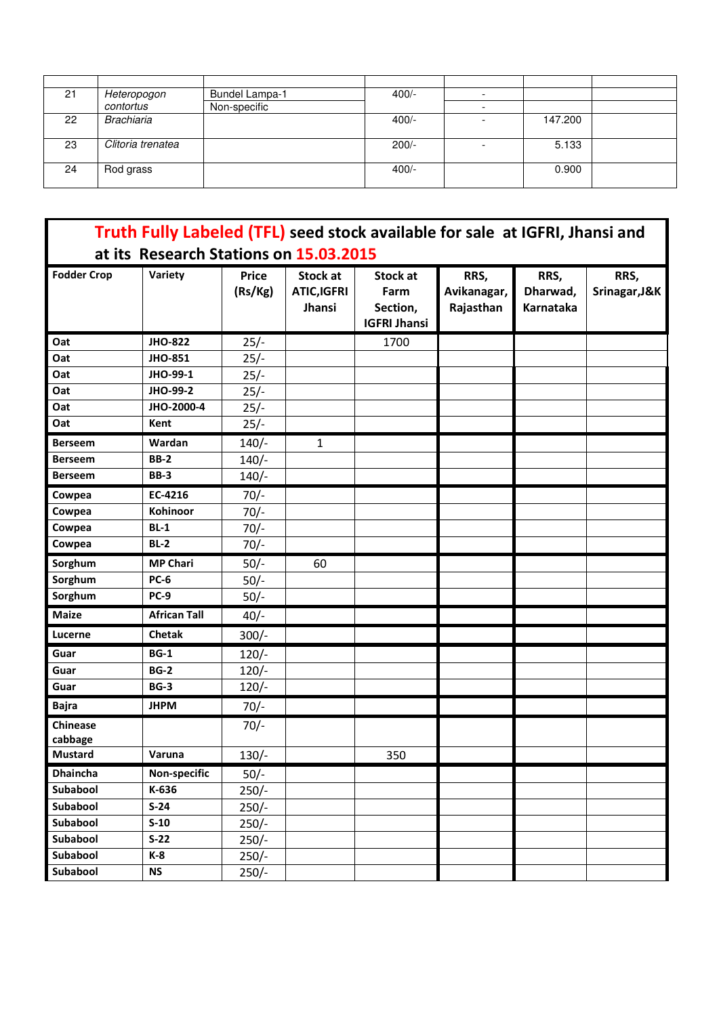| 21 | Heteropogon       | <b>Bundel Lampa-1</b> | $400/-$ |         |  |
|----|-------------------|-----------------------|---------|---------|--|
|    | contortus         | Non-specific          |         |         |  |
| 22 | Brachiaria        |                       | $400/-$ | 147.200 |  |
| 23 | Clitoria trenatea |                       | $200/-$ | 5.133   |  |
| 24 | Rod grass         |                       | $400/-$ | 0.900   |  |

| Truth Fully Labeled (TFL) seed stock available for sale at IGFRI, Jhansi and<br>at its Research Stations on 15.03.2015 |                     |                         |                                                |                                                            |                                  |                               |                       |  |
|------------------------------------------------------------------------------------------------------------------------|---------------------|-------------------------|------------------------------------------------|------------------------------------------------------------|----------------------------------|-------------------------------|-----------------------|--|
| <b>Fodder Crop</b>                                                                                                     | Variety             | <b>Price</b><br>(Rs/Kg) | <b>Stock at</b><br><b>ATIC,IGFRI</b><br>Jhansi | <b>Stock at</b><br>Farm<br>Section,<br><b>IGFRI Jhansi</b> | RRS,<br>Avikanagar,<br>Rajasthan | RRS,<br>Dharwad,<br>Karnataka | RRS,<br>Srinagar, J&K |  |
| Oat                                                                                                                    | <b>JHO-822</b>      | $25/-$                  |                                                | 1700                                                       |                                  |                               |                       |  |
| Oat                                                                                                                    | <b>JHO-851</b>      | $25/-$                  |                                                |                                                            |                                  |                               |                       |  |
| Oat                                                                                                                    | JHO-99-1            | $25/-$                  |                                                |                                                            |                                  |                               |                       |  |
| Oat                                                                                                                    | JHO-99-2            | $25/-$                  |                                                |                                                            |                                  |                               |                       |  |
| Oat                                                                                                                    | JHO-2000-4          | $25/-$                  |                                                |                                                            |                                  |                               |                       |  |
| Oat                                                                                                                    | Kent                | $25/-$                  |                                                |                                                            |                                  |                               |                       |  |
| <b>Berseem</b>                                                                                                         | Wardan              | $140/-$                 | 1                                              |                                                            |                                  |                               |                       |  |
| <b>Berseem</b>                                                                                                         | <b>BB-2</b>         | $140/-$                 |                                                |                                                            |                                  |                               |                       |  |
| <b>Berseem</b>                                                                                                         | <b>BB-3</b>         | $140/-$                 |                                                |                                                            |                                  |                               |                       |  |
| Cowpea                                                                                                                 | EC-4216             | $70/-$                  |                                                |                                                            |                                  |                               |                       |  |
| Cowpea                                                                                                                 | Kohinoor            | $70/-$                  |                                                |                                                            |                                  |                               |                       |  |
| Cowpea                                                                                                                 | $BL-1$              | $70/-$                  |                                                |                                                            |                                  |                               |                       |  |
| Cowpea                                                                                                                 | $BL-2$              | $70/-$                  |                                                |                                                            |                                  |                               |                       |  |
| Sorghum                                                                                                                | <b>MP Chari</b>     | $50/-$                  | 60                                             |                                                            |                                  |                               |                       |  |
| Sorghum                                                                                                                | <b>PC-6</b>         | $50/-$                  |                                                |                                                            |                                  |                               |                       |  |
| Sorghum                                                                                                                | <b>PC-9</b>         | $50/-$                  |                                                |                                                            |                                  |                               |                       |  |
| <b>Maize</b>                                                                                                           | <b>African Tall</b> | $40/-$                  |                                                |                                                            |                                  |                               |                       |  |
| Lucerne                                                                                                                | <b>Chetak</b>       | $300/-$                 |                                                |                                                            |                                  |                               |                       |  |
| Guar                                                                                                                   | <b>BG-1</b>         | $120/-$                 |                                                |                                                            |                                  |                               |                       |  |
| Guar                                                                                                                   | <b>BG-2</b>         | $120/-$                 |                                                |                                                            |                                  |                               |                       |  |
| Guar                                                                                                                   | <b>BG-3</b>         | $120/-$                 |                                                |                                                            |                                  |                               |                       |  |
| <b>Bajra</b>                                                                                                           | <b>JHPM</b>         | $70/-$                  |                                                |                                                            |                                  |                               |                       |  |
| <b>Chinease</b><br>cabbage                                                                                             |                     | $70/-$                  |                                                |                                                            |                                  |                               |                       |  |
| Mustard                                                                                                                | Varuna              | $130/-$                 |                                                | 350                                                        |                                  |                               |                       |  |
| <b>Dhaincha</b>                                                                                                        | Non-specific        | $50/-$                  |                                                |                                                            |                                  |                               |                       |  |
| Subabool                                                                                                               | K-636               | $250/-$                 |                                                |                                                            |                                  |                               |                       |  |
| Subabool                                                                                                               | $S-24$              | $250/-$                 |                                                |                                                            |                                  |                               |                       |  |
| Subabool                                                                                                               | $S-10$              | $250/-$                 |                                                |                                                            |                                  |                               |                       |  |
| Subabool                                                                                                               | $S-22$              | $250/-$                 |                                                |                                                            |                                  |                               |                       |  |
| Subabool                                                                                                               | K-8                 | $250/-$                 |                                                |                                                            |                                  |                               |                       |  |
| Subabool                                                                                                               | <b>NS</b>           | $250/-$                 |                                                |                                                            |                                  |                               |                       |  |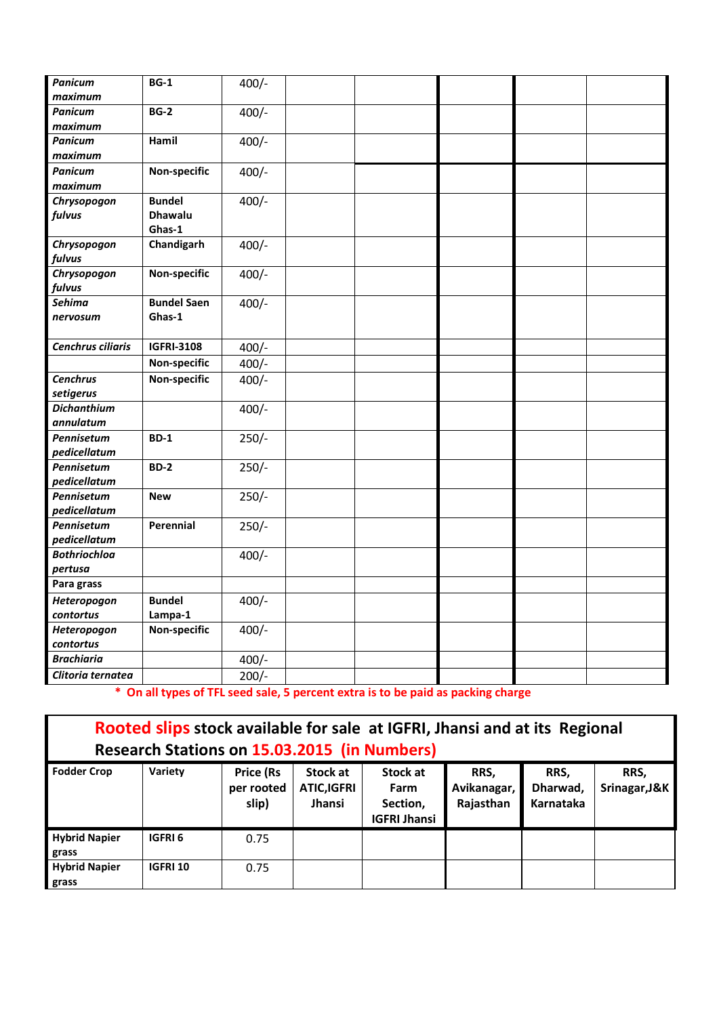| <b>Panicum</b><br>maximum | $BG-1$             | $400/-$ |  |  |  |
|---------------------------|--------------------|---------|--|--|--|
|                           |                    |         |  |  |  |
| <b>Panicum</b><br>maximum | <b>BG-2</b>        | $400/-$ |  |  |  |
| <b>Panicum</b>            | Hamil              | $400/-$ |  |  |  |
| maximum                   |                    |         |  |  |  |
| <b>Panicum</b>            | Non-specific       | $400/-$ |  |  |  |
| maximum                   |                    |         |  |  |  |
| Chrysopogon               | <b>Bundel</b>      | $400/-$ |  |  |  |
| fulvus                    | <b>Dhawalu</b>     |         |  |  |  |
|                           | Ghas-1             |         |  |  |  |
| Chrysopogon               | Chandigarh         | $400/-$ |  |  |  |
| fulvus                    |                    |         |  |  |  |
| Chrysopogon               | Non-specific       | $400/-$ |  |  |  |
| fulvus                    |                    |         |  |  |  |
| <b>Sehima</b>             | <b>Bundel Saen</b> | $400/-$ |  |  |  |
| nervosum                  | Ghas-1             |         |  |  |  |
|                           |                    |         |  |  |  |
| Cenchrus ciliaris         | <b>IGFRI-3108</b>  | $400/-$ |  |  |  |
|                           | Non-specific       | $400/-$ |  |  |  |
| <b>Cenchrus</b>           | Non-specific       | $400/-$ |  |  |  |
| setigerus                 |                    |         |  |  |  |
| <b>Dichanthium</b>        |                    | $400/-$ |  |  |  |
| annulatum                 |                    |         |  |  |  |
| Pennisetum                | <b>BD-1</b>        | $250/-$ |  |  |  |
| pedicellatum              |                    |         |  |  |  |
| Pennisetum                | <b>BD-2</b>        | $250/-$ |  |  |  |
| pedicellatum              |                    |         |  |  |  |
| Pennisetum                | <b>New</b>         | $250/-$ |  |  |  |
| pedicellatum              |                    |         |  |  |  |
| Pennisetum                | Perennial          | $250/-$ |  |  |  |
| pedicellatum              |                    |         |  |  |  |
| <b>Bothriochloa</b>       |                    | $400/-$ |  |  |  |
| pertusa                   |                    |         |  |  |  |
| Para grass                |                    |         |  |  |  |
| Heteropogon               | <b>Bundel</b>      | $400/-$ |  |  |  |
| contortus                 | Lampa-1            |         |  |  |  |
| Heteropogon               | Non-specific       | $400/-$ |  |  |  |
| contortus                 |                    |         |  |  |  |
| <b>Brachiaria</b>         |                    | $400/-$ |  |  |  |
| Clitoria ternatea         |                    | $200/-$ |  |  |  |
|                           |                    |         |  |  |  |

 **\* On all types of TFL seed sale, 5 percent extra is to be paid as packing charge** 

| Rooted slips stock available for sale at IGFRI, Jhansi and at its Regional<br><b>Research Stations on 15.03.2015 (in Numbers)</b> |                |                                         |                                                |                                                     |                                  |                               |                       |  |  |  |
|-----------------------------------------------------------------------------------------------------------------------------------|----------------|-----------------------------------------|------------------------------------------------|-----------------------------------------------------|----------------------------------|-------------------------------|-----------------------|--|--|--|
| <b>Fodder Crop</b>                                                                                                                | Variety        | <b>Price (Rs</b><br>per rooted<br>slip) | Stock at<br><b>ATIC,IGFRI</b><br><b>Jhansi</b> | Stock at<br>Farm<br>Section,<br><b>IGFRI Jhansi</b> | RRS.<br>Avikanagar,<br>Rajasthan | RRS.<br>Dharwad,<br>Karnataka | RRS.<br>Srinagar, J&K |  |  |  |
| <b>Hybrid Napier</b><br>grass                                                                                                     | <b>IGFRI6</b>  | 0.75                                    |                                                |                                                     |                                  |                               |                       |  |  |  |
| <b>Hybrid Napier</b><br>grass                                                                                                     | <b>IGFRI10</b> | 0.75                                    |                                                |                                                     |                                  |                               |                       |  |  |  |